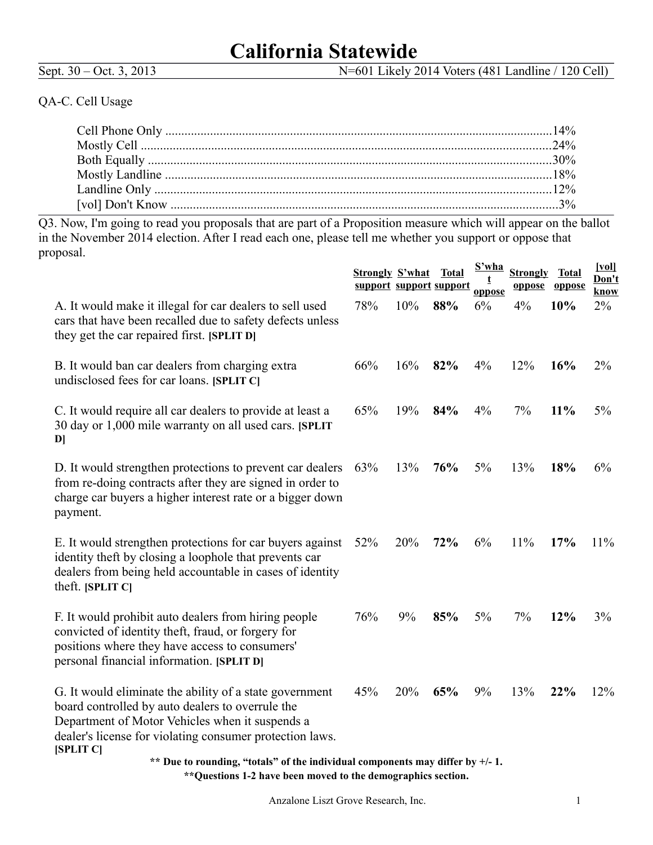# **California Statewide**

Sept. 30 – Oct. 3, 2013 N=601 Likely 2014 Voters (481 Landline / 120 Cell)

## QA-C. Cell Usage

Q3. Now, I'm going to read you proposals that are part of a Proposition measure which will appear on the ballot in the November 2014 election. After I read each one, please tell me whether you support or oppose that proposal.  $\mathbf{S}$   $\mathbf{S}$ 

|                                                                                                                                                                                                                                         | <b>Strongly S'what</b> |     | <b>Total</b><br>support support support | <u>S'wha</u><br>oppose | <b>Strongly</b><br>oppose | <b>Total</b><br>oppose | $\sqrt{\underline{vol}}$<br>Don't<br>know |
|-----------------------------------------------------------------------------------------------------------------------------------------------------------------------------------------------------------------------------------------|------------------------|-----|-----------------------------------------|------------------------|---------------------------|------------------------|-------------------------------------------|
| A. It would make it illegal for car dealers to sell used<br>cars that have been recalled due to safety defects unless<br>they get the car repaired first. [SPLIT D]                                                                     | 78%                    | 10% | 88%                                     | 6%                     | 4%                        | 10%                    | 2%                                        |
| B. It would ban car dealers from charging extra<br>undisclosed fees for car loans. [SPLIT C]                                                                                                                                            | 66%                    | 16% | 82%                                     | 4%                     | 12%                       | 16%                    | $2\%$                                     |
| C. It would require all car dealers to provide at least a<br>30 day or 1,000 mile warranty on all used cars. [SPLIT<br>$\mathbf{D}$                                                                                                     | 65%                    | 19% | 84%                                     | 4%                     | 7%                        | 11%                    | 5%                                        |
| D. It would strengthen protections to prevent car dealers<br>from re-doing contracts after they are signed in order to<br>charge car buyers a higher interest rate or a bigger down<br>payment.                                         | 63%                    | 13% | 76%                                     | $5\%$                  | 13%                       | 18%                    | 6%                                        |
| E. It would strengthen protections for car buyers against<br>identity theft by closing a loophole that prevents car<br>dealers from being held accountable in cases of identity<br>theft. $[SPLITC]$                                    | 52%                    | 20% | 72%                                     | 6%                     | 11%                       | 17%                    | 11%                                       |
| F. It would prohibit auto dealers from hiring people<br>convicted of identity theft, fraud, or forgery for<br>positions where they have access to consumers'<br>personal financial information. [SPLIT D]                               | 76%                    | 9%  | 85%                                     | 5%                     | 7%                        | 12%                    | 3%                                        |
| G. It would eliminate the ability of a state government<br>board controlled by auto dealers to overrule the<br>Department of Motor Vehicles when it suspends a<br>dealer's license for violating consumer protection laws.<br>[SPLIT C] | 45%                    | 20% | 65%                                     | 9%                     | 13%                       | 22%                    | 12%                                       |
| ** Due to rounding, "totals" of the individual components may differ by +/- 1.                                                                                                                                                          |                        |     |                                         |                        |                           |                        |                                           |
| **Questions 1-2 have been moved to the demographics section.                                                                                                                                                                            |                        |     |                                         |                        |                           |                        |                                           |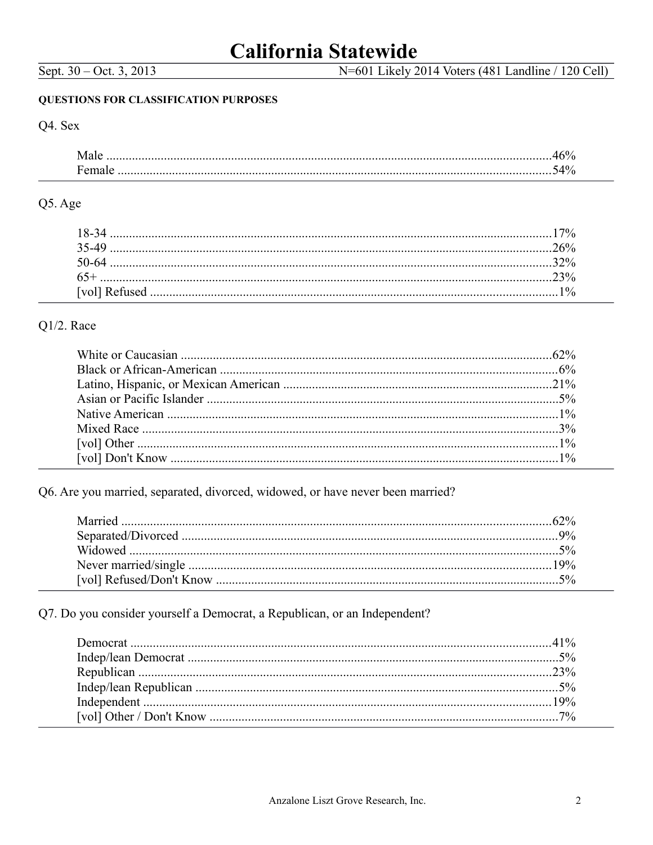# **California Statewide**

N=601 Likely 2014 Voters (481 Landline / 120 Cell)

#### **QUESTIONS FOR CLASSIFICATION PURPOSES**

## Q4. Sex

### Q5. Age

| 18-34 |  |
|-------|--|
|       |  |
| 50-64 |  |
| $65+$ |  |
|       |  |

## $Q1/2$ . Race

Q6. Are you married, separated, divorced, widowed, or have never been married?

Q7. Do you consider yourself a Democrat, a Republican, or an Independent?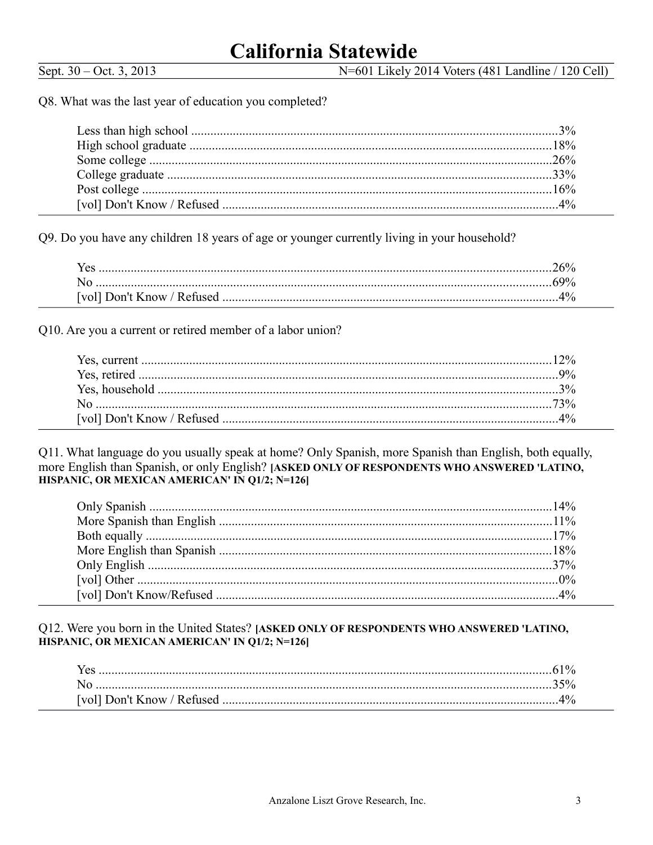N=601 Likely 2014 Voters (481 Landline / 120 Cell)

Q8. What was the last year of education you completed?

Q9. Do you have any children 18 years of age or younger currently living in your household?

Q10. Are you a current or retired member of a labor union?

Q11. What language do you usually speak at home? Only Spanish, more Spanish than English, both equally, more English than Spanish, or only English? [ASKED ONLY OF RESPONDENTS WHO ANSWERED 'LATINO, HISPANIC, OR MEXICAN AMERICAN' IN Q1/2; N=126]

Q12. Were you born in the United States? [ASKED ONLY OF RESPONDENTS WHO ANSWERED 'LATINO, HISPANIC, OR MEXICAN AMERICAN' IN Q1/2; N=126]